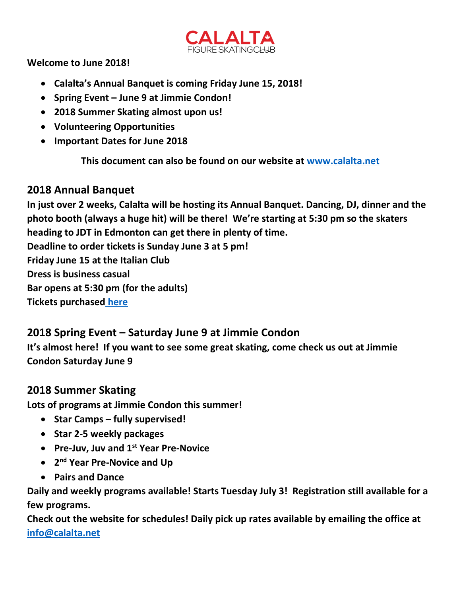

**Welcome to June 2018!**

- **Calalta's Annual Banquet is coming Friday June 15, 2018!**
- **Spring Event – June 9 at Jimmie Condon!**
- **2018 Summer Skating almost upon us!**
- **Volunteering Opportunities**
- **Important Dates for June 2018**

**This document can also be found on our website at [www.calalta.net](http://www.calalta.net/)**

### **2018 Annual Banquet**

**In just over 2 weeks, Calalta will be hosting its Annual Banquet. Dancing, DJ, dinner and the photo booth (always a huge hit) will be there! We're starting at 5:30 pm so the skaters heading to JDT in Edmonton can get there in plenty of time. Deadline to order tickets is Sunday June 3 at 5 pm! Friday June 15 at the Italian Club Dress is business casual Bar opens at 5:30 pm (for the adults) Tickets purchased [here](https://calalta.uplifterinc.com/)**

# **2018 Spring Event – Saturday June 9 at Jimmie Condon**

**It's almost here! If you want to see some great skating, come check us out at Jimmie Condon Saturday June 9** 

# **2018 Summer Skating**

**Lots of programs at Jimmie Condon this summer!**

- **Star Camps – fully supervised!**
- **•** Star 2-5 weekly packages
- **Pre-Juv, Juv and 1st Year Pre-Novice**
- **2 nd Year Pre-Novice and Up**
- **Pairs and Dance**

**Daily and weekly programs available! Starts Tuesday July 3! Registration still available for a few programs.** 

**Check out the website for schedules! Daily pick up rates available by emailing the office at [info@calalta.net](mailto:info@calalta.net)**